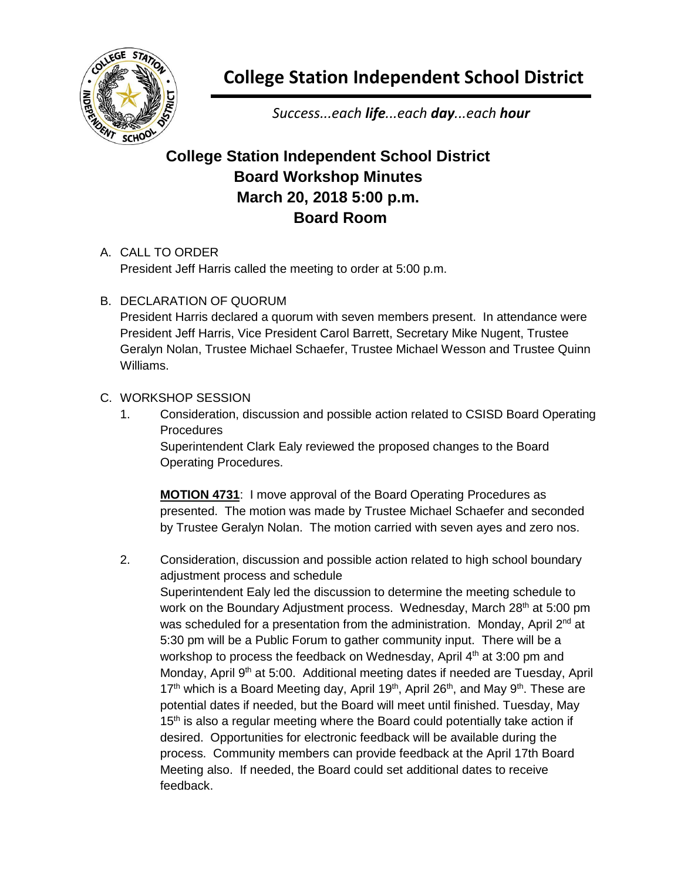

**College Station Independent School District**

*Success...each life...each day...each hour*

## **College Station Independent School District Board Workshop Minutes March 20, 2018 5:00 p.m. Board Room**

## A. CALL TO ORDER

President Jeff Harris called the meeting to order at 5:00 p.m.

B. DECLARATION OF QUORUM

President Harris declared a quorum with seven members present. In attendance were President Jeff Harris, Vice President Carol Barrett, Secretary Mike Nugent, Trustee Geralyn Nolan, Trustee Michael Schaefer, Trustee Michael Wesson and Trustee Quinn Williams.

## C. WORKSHOP SESSION

1. Consideration, discussion and possible action related to CSISD Board Operating **Procedures** 

Superintendent Clark Ealy reviewed the proposed changes to the Board Operating Procedures.

**MOTION 4731**: I move approval of the Board Operating Procedures as presented. The motion was made by Trustee Michael Schaefer and seconded by Trustee Geralyn Nolan. The motion carried with seven ayes and zero nos.

2. Consideration, discussion and possible action related to high school boundary adjustment process and schedule

Superintendent Ealy led the discussion to determine the meeting schedule to work on the Boundary Adjustment process. Wednesday, March 28<sup>th</sup> at 5:00 pm was scheduled for a presentation from the administration. Monday, April 2<sup>nd</sup> at 5:30 pm will be a Public Forum to gather community input. There will be a workshop to process the feedback on Wednesday, April 4<sup>th</sup> at 3:00 pm and Monday, April 9<sup>th</sup> at 5:00. Additional meeting dates if needed are Tuesday, April 17<sup>th</sup> which is a Board Meeting day, April 19<sup>th</sup>, April 26<sup>th</sup>, and May 9<sup>th</sup>. These are potential dates if needed, but the Board will meet until finished. Tuesday, May  $15<sup>th</sup>$  is also a regular meeting where the Board could potentially take action if desired. Opportunities for electronic feedback will be available during the process. Community members can provide feedback at the April 17th Board Meeting also. If needed, the Board could set additional dates to receive feedback.